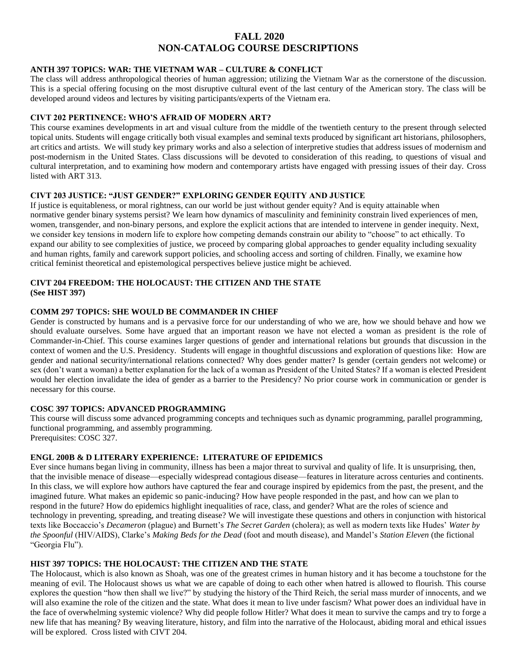# **FALL 2020 NON-CATALOG COURSE DESCRIPTIONS**

# **ANTH 397 TOPICS: WAR: THE VIETNAM WAR – CULTURE & CONFLICT**

The class will address anthropological theories of human aggression; utilizing the Vietnam War as the cornerstone of the discussion. This is a special offering focusing on the most disruptive cultural event of the last century of the American story. The class will be developed around videos and lectures by visiting participants/experts of the Vietnam era.

# **CIVT 202 PERTINENCE: WHO'S AFRAID OF MODERN ART?**

This course examines developments in art and visual culture from the middle of the twentieth century to the present through selected topical units. Students will engage critically both visual examples and seminal texts produced by significant art historians, philosophers, art critics and artists. We will study key primary works and also a selection of interpretive studies that address issues of modernism and post-modernism in the United States. Class discussions will be devoted to consideration of this reading, to questions of visual and cultural interpretation, and to examining how modern and contemporary artists have engaged with pressing issues of their day. Cross listed with ART 313.

# **CIVT 203 JUSTICE: "JUST GENDER?" EXPLORING GENDER EQUITY AND JUSTICE**

If justice is equitableness, or moral rightness, can our world be just without gender equity? And is equity attainable when normative gender binary systems persist? We learn how dynamics of masculinity and femininity constrain lived experiences of men, women, transgender, and non-binary persons, and explore the explicit actions that are intended to intervene in gender inequity. Next, we consider key tensions in modern life to explore how competing demands constrain our ability to "choose" to act ethically. To expand our ability to see complexities of justice, we proceed by comparing global approaches to gender equality including sexuality and human rights, family and carework support policies, and schooling access and sorting of children. Finally, we examine how critical feminist theoretical and epistemological perspectives believe justice might be achieved.

# **CIVT 204 FREEDOM: THE HOLOCAUST: THE CITIZEN AND THE STATE (See HIST 397)**

# **COMM 297 TOPICS: SHE WOULD BE COMMANDER IN CHIEF**

Gender is constructed by humans and is a pervasive force for our understanding of who we are, how we should behave and how we should evaluate ourselves. Some have argued that an important reason we have not elected a woman as president is the role of Commander-in-Chief. This course examines larger questions of gender and international relations but grounds that discussion in the context of women and the U.S. Presidency. Students will engage in thoughtful discussions and exploration of questions like: How are gender and national security/international relations connected? Why does gender matter? Is gender (certain genders not welcome) or sex (don't want a woman) a better explanation for the lack of a woman as President of the United States? If a woman is elected President would her election invalidate the idea of gender as a barrier to the Presidency? No prior course work in communication or gender is necessary for this course.

## **COSC 397 TOPICS: ADVANCED PROGRAMMING**

This course will discuss some advanced programming concepts and techniques such as dynamic programming, parallel programming, functional programming, and assembly programming. Prerequisites: COSC 327.

# **ENGL 200B & D LITERARY EXPERIENCE: LITERATURE OF EPIDEMICS**

Ever since humans began living in community, illness has been a major threat to survival and quality of life. It is unsurprising, then, that the invisible menace of disease—especially widespread contagious disease—features in literature across centuries and continents. In this class, we will explore how authors have captured the fear and courage inspired by epidemics from the past, the present, and the imagined future. What makes an epidemic so panic-inducing? How have people responded in the past, and how can we plan to respond in the future? How do epidemics highlight inequalities of race, class, and gender? What are the roles of science and technology in preventing, spreading, and treating disease? We will investigate these questions and others in conjunction with historical texts like Boccaccio's *Decameron* (plague) and Burnett's *The Secret Garden* (cholera); as well as modern texts like Hudes' *Water by the Spoonful* (HIV/AIDS), Clarke's *Making Beds for the Dead* (foot and mouth disease), and Mandel's *Station Eleven* (the fictional "Georgia Flu").

## **HIST 397 TOPICS: THE HOLOCAUST: THE CITIZEN AND THE STATE**

The Holocaust, which is also known as Shoah, was one of the greatest crimes in human history and it has become a touchstone for the meaning of evil. The Holocaust shows us what we are capable of doing to each other when hatred is allowed to flourish. This course explores the question "how then shall we live?" by studying the history of the Third Reich, the serial mass murder of innocents, and we will also examine the role of the citizen and the state. What does it mean to live under fascism? What power does an individual have in the face of overwhelming systemic violence? Why did people follow Hitler? What does it mean to survive the camps and try to forge a new life that has meaning? By weaving literature, history, and film into the narrative of the Holocaust, abiding moral and ethical issues will be explored. Cross listed with CIVT 204.